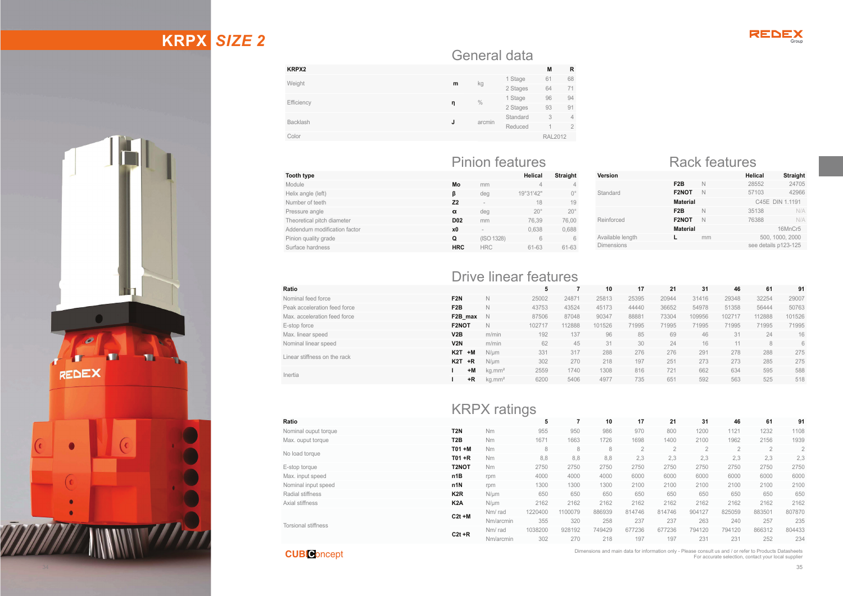# **KRPX** *SIZE 2*





#### General data

| <b>KRPX2</b>    |               |          |          | M              | $\mathbb{R}$   |  |
|-----------------|---------------|----------|----------|----------------|----------------|--|
| Weight<br>m     |               | 1 Stage  | 61       | 68             |                |  |
|                 | kg            | 2 Stages | 64       | 71             |                |  |
|                 | $\frac{0}{0}$ | 1 Stage  | 96       | 94             |                |  |
| Efficiency      | η             |          | 2 Stages | 93             | 91             |  |
| <b>Backlash</b> | J             | arcmin   | Standard | 3              | $\overline{4}$ |  |
|                 |               |          | Reduced  |                | $\overline{2}$ |  |
| Color           |               |          |          | <b>RAL2012</b> |                |  |
|                 |               |          |          |                |                |  |

#### Pinion features Rack features

| type                    |            |            | Helical      | Straight     |
|-------------------------|------------|------------|--------------|--------------|
| e                       | Mo         | mm         | 4            | 4            |
| angle (left)            | ß          | deg        | 19°31'42"    | $0^{\circ}$  |
| er of teeth             | <b>Z2</b>  | ۰          | 18           | 19           |
| ure angle               | α          | deg        | $20^{\circ}$ | $20^{\circ}$ |
| etical pitch diameter   | <b>D02</b> | mm         | 76.39        | 76,00        |
| dum modification factor | x0         | $\sim$     | 0.638        | 0,688        |
| quality grade           | Q          | (ISO 1328) | 6            | 6            |
| e hardness              | <b>HRC</b> | <b>HRC</b> | 61-63        | 61-63        |
|                         |            |            |              |              |

 $L/DDN$ 

| Version                                   |                    |    | Helical         | <b>Straight</b> |
|-------------------------------------------|--------------------|----|-----------------|-----------------|
| Standard                                  | F <sub>2</sub> B   | N  | 28552           | 24705           |
|                                           | F <sub>2</sub> NOT | N  | 57103           | 42966           |
|                                           | <b>Material</b>    |    | C45E DIN 1.1191 |                 |
| Reinforced                                | F <sub>2</sub> B   | N  | 35138           | N/A             |
|                                           | F <sub>2</sub> NOT | N  | 76388           | N/A             |
|                                           | <b>Material</b>    |    |                 | 16MnCr5         |
| Available length                          |                    | mm | 500, 1000, 2000 |                 |
| see details p123-125<br><b>Dimensions</b> |                    |    |                 |                 |
|                                           |                    |    |                 |                 |

#### Drive linear features**Ratio 5 7 10 17 21 31 46 61 91** Nominal feed force **F2N** N 25002 24871 25813 25395 20944 31416 29348 32254 29007 Peak acceleration feed force **F2BB** N 43753 43524 45173 44440 36652 54978 51358 56444 50763 Max. acceleration feed force **F2B\_max** N 87506 87048 90347 88881 73304 109956 102717 112888 101526 E-stop force **F2NOT** N 102717 112888 101526 71995 71995 71995 71995 71995 71995 0D[OLQHDUVSHHG **V2B** m/min 192 137 96 85 69 46 31 24 16 Nominal linear speed **V2N** m/min 62 45 31 30 24 16 11 8 6 Linear stiffness on the rack **K2T +M** 1ȝP 331 317 288 276 276 291 278 288 275 **K2T +R** 1ȝP 302 270 218 197 251 273 273 285 275 Inertia **I +MM** kg.mm<sup>2</sup> 2559 1740 1308 816 721 662 634 595 588 **I +RR** kg.mm<sup>2</sup> 6200 5406 4977 735 651 592 563 525 518

|                            |                  | <b>KRPA</b> Tallings |         |                |        |                |                |                |                |                |                |
|----------------------------|------------------|----------------------|---------|----------------|--------|----------------|----------------|----------------|----------------|----------------|----------------|
| Ratio                      |                  |                      | 5       | $\overline{ }$ | 10     | 17             | 21             | 31             | 46             | 61             | 91             |
| Nominal ouput torque       | T <sub>2N</sub>  | Nm                   | 955     | 950            | 986    | 970            | 800            | 1200           | 1121           | 1232           | 1108           |
| Max. ouput torque          | T <sub>2</sub> B | Nm                   | 1671    | 1663           | 1726   | 1698           | 1400           | 2100           | 1962           | 2156           | 1939           |
|                            | $TO1 + M$        | Nm                   | 8       | 8              | 8      | $\overline{2}$ | $\overline{2}$ | $\overline{2}$ | $\overline{2}$ | $\overline{2}$ | $\overline{2}$ |
| No load torque             | $TO1 + R$        | Nm                   | 8.8     | 8,8            | 8.8    | 2,3            | 2,3            | 2,3            | 2.3            | 2,3            | 2,3            |
| E-stop torque              | T2NOT            | Nm                   | 2750    | 2750           | 2750   | 2750           | 2750           | 2750           | 2750           | 2750           | 2750           |
| Max. input speed           | n1B              | rpm                  | 4000    | 4000           | 4000   | 6000           | 6000           | 6000           | 6000           | 6000           | 6000           |
| Nominal input speed        | n1N              | rpm                  | 1300    | 1300           | 1300   | 2100           | 2100           | 2100           | 2100           | 2100           | 2100           |
| Radial stiffness           | K <sub>2</sub> R | $N/\mu m$            | 650     | 650            | 650    | 650            | 650            | 650            | 650            | 650            | 650            |
| Axial stiffness            | K <sub>2</sub> A | $N/\mu m$            | 2162    | 2162           | 2162   | 2162           | 2162           | 2162           | 2162           | 2162           | 2162           |
|                            | $C2t + M$        | Nm/rad               | 1220400 | 1100079        | 886939 | 814746         | 814746         | 904127         | 825059         | 883501         | 807870         |
|                            |                  | Nm/arcmin            | 355     | 320            | 258    | 237            | 237            | 263            | 240            | 257            | 235            |
| <b>Torsional stiffness</b> |                  | Nm/rad               | 1038200 | 928192         | 749429 | 677236         | 677236         | 794120         | 794120         | 866312         | 804433         |
|                            | $C2t + R$        | Nm/arcmin            | 302     | 270            | 218    | 197            | 197            | 231            | 231            | 252            | 234            |

#### **CUBI C**oncept

 $Tooth type$ Module

Helix angle (left) Number of teeth

Pressure angle Theoretical pitch diameter Addendum modification factor

Pinion quality grade Surface hardness

> Dimensions and main data for information only - Please consult us and / or refer to Products Datasheets For accurate selection, contact your local supplier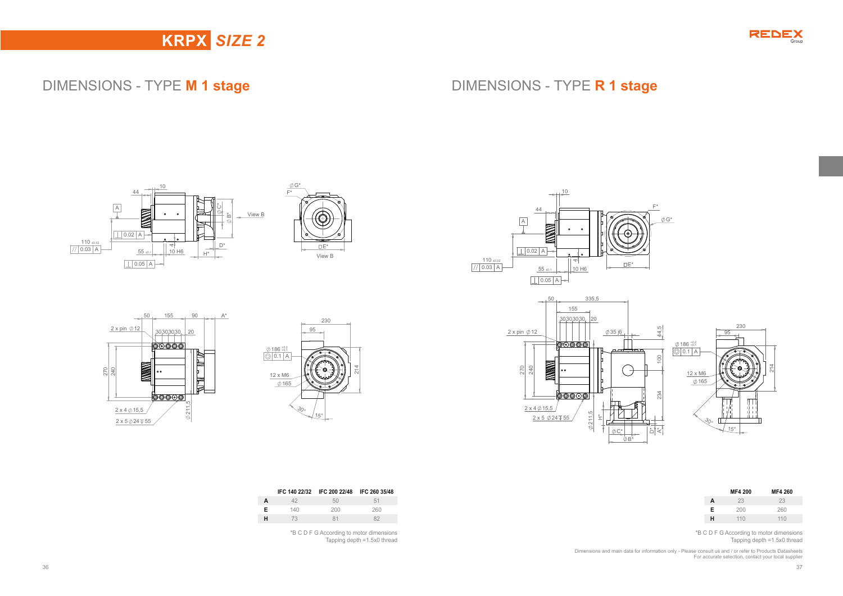

## **KRPX** *SIZE 2*

## DIMENSIONS - TYPE **M 1 stage** DIMENSIONS - TYPE **R 1 stage**





 230 95

214

 $\frac{30}{15}$ 

165 12 x M6

 $\frac{186^{+0.2}_{+0.1}}{0.1}$ 





|   | <b>MF4 200</b> | MF4 260 |
|---|----------------|---------|
| A | 23             | 23      |
| Е | 200            | 260     |
| н | 110            | 110     |

\*B C D F G According to motor dimensions Tapping depth =1.5x0 thread

Dimensions and main data for information only - Please consult us and / or refer to Products Datasheets For accurate selection, contact your local supplier

|   |     | IFC 140 22/32 IFC 200 22/48 IFC 260 35/48 |    |
|---|-----|-------------------------------------------|----|
| A | オウ  | 50                                        | 51 |
| E | 140 |                                           |    |

|    |     | .    |      |
|----|-----|------|------|
| А  |     | 50   | 51   |
| E. | 140 | -200 | JAN. |
| н  | 73  | 81   |      |
|    |     |      |      |

\*B C D F G According to motor dimensions Tapping depth =1.5x0 thread